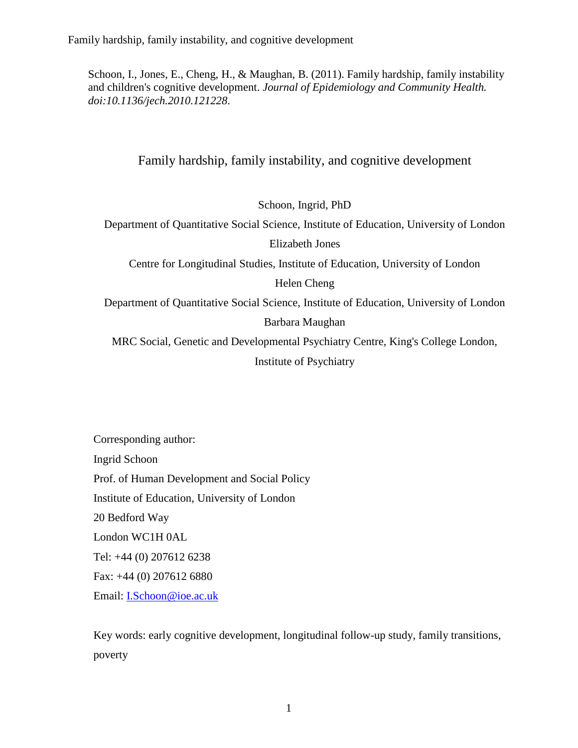Schoon, I., Jones, E., Cheng, H., & Maughan, B. (2011). Family hardship, family instability and children's cognitive development. *Journal of Epidemiology and Community Health. doi:10.1136/jech.2010.121228*.

# Family hardship, family instability, and cognitive development

Schoon, Ingrid, PhD

Department of Quantitative Social Science, Institute of Education, University of London Elizabeth Jones

Centre for Longitudinal Studies, Institute of Education, University of London

Helen Cheng

Department of Quantitative Social Science, Institute of Education, University of London Barbara Maughan

MRC Social, Genetic and Developmental Psychiatry Centre, King's College London, Institute of Psychiatry

Corresponding author: Ingrid Schoon Prof. of Human Development and Social Policy Institute of Education, University of London 20 Bedford Way London WC1H 0AL Tel: +44 (0) 207612 6238 Fax: +44 (0) 207612 6880 Email: [I.Schoon@ioe.ac.uk](mailto:I.Schoon@ioe.ac.uk)

Key words: early cognitive development, longitudinal follow-up study, family transitions, poverty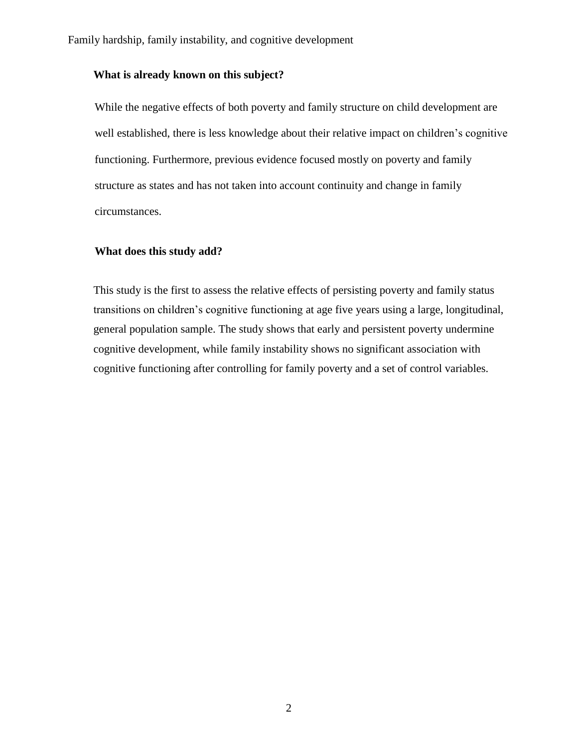## **What is already known on this subject?**

While the negative effects of both poverty and family structure on child development are well established, there is less knowledge about their relative impact on children's cognitive functioning. Furthermore, previous evidence focused mostly on poverty and family structure as states and has not taken into account continuity and change in family circumstances.

## **What does this study add?**

This study is the first to assess the relative effects of persisting poverty and family status transitions on children's cognitive functioning at age five years using a large, longitudinal, general population sample. The study shows that early and persistent poverty undermine cognitive development, while family instability shows no significant association with cognitive functioning after controlling for family poverty and a set of control variables.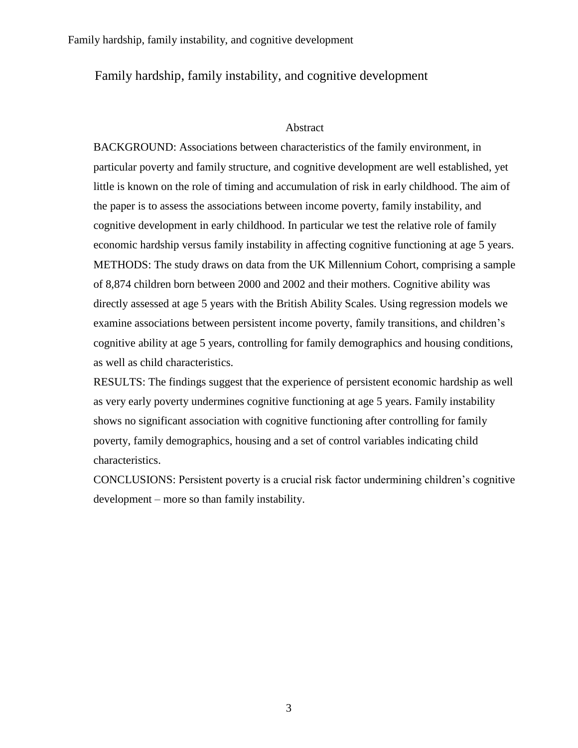### Abstract

BACKGROUND: Associations between characteristics of the family environment, in particular poverty and family structure, and cognitive development are well established, yet little is known on the role of timing and accumulation of risk in early childhood. The aim of the paper is to assess the associations between income poverty, family instability, and cognitive development in early childhood. In particular we test the relative role of family economic hardship versus family instability in affecting cognitive functioning at age 5 years. METHODS: The study draws on data from the UK Millennium Cohort, comprising a sample of 8,874 children born between 2000 and 2002 and their mothers. Cognitive ability was directly assessed at age 5 years with the British Ability Scales. Using regression models we examine associations between persistent income poverty, family transitions, and children's cognitive ability at age 5 years, controlling for family demographics and housing conditions, as well as child characteristics.

RESULTS: The findings suggest that the experience of persistent economic hardship as well as very early poverty undermines cognitive functioning at age 5 years. Family instability shows no significant association with cognitive functioning after controlling for family poverty, family demographics, housing and a set of control variables indicating child characteristics.

CONCLUSIONS: Persistent poverty is a crucial risk factor undermining children's cognitive development – more so than family instability.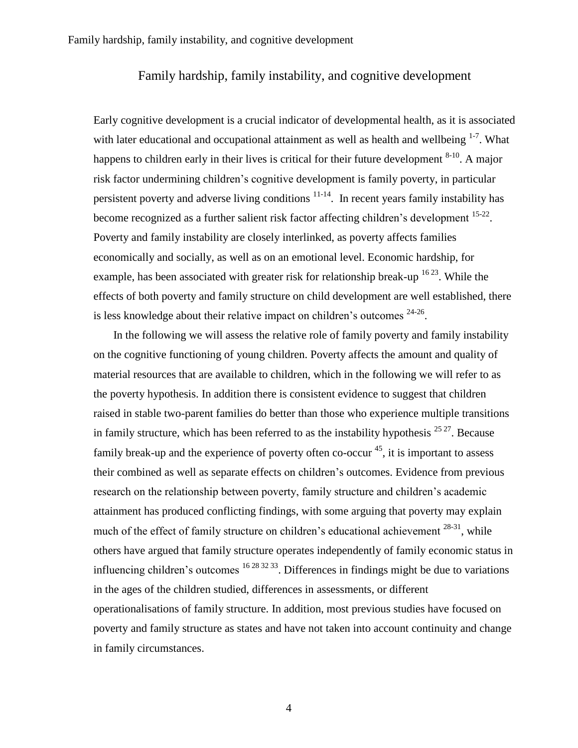Early cognitive development is a crucial indicator of developmental health, as it is associated with later educational and occupational attainment as well as health and wellbeing  $1-7$ . What happens to children early in their lives is critical for their future development  $8-10$ . A major risk factor undermining children's cognitive development is family poverty, in particular persistent poverty and adverse living conditions  $11-14$ . In recent years family instability has become recognized as a further salient risk factor affecting children's development <sup>15-22</sup>. Poverty and family instability are closely interlinked, as poverty affects families economically and socially, as well as on an emotional level. Economic hardship, for example, has been associated with greater risk for relationship break-up <sup>1623</sup>. While the effects of both poverty and family structure on child development are well established, there is less knowledge about their relative impact on children's outcomes  $24-26$ .

 In the following we will assess the relative role of family poverty and family instability on the cognitive functioning of young children. Poverty affects the amount and quality of material resources that are available to children, which in the following we will refer to as the poverty hypothesis. In addition there is consistent evidence to suggest that children raised in stable two-parent families do better than those who experience multiple transitions in family structure, which has been referred to as the instability hypothesis  $^{25\,27}$ . Because family break-up and the experience of poverty often co-occur<sup>45</sup>, it is important to assess their combined as well as separate effects on children's outcomes. Evidence from previous research on the relationship between poverty, family structure and children's academic attainment has produced conflicting findings, with some arguing that poverty may explain much of the effect of family structure on children's educational achievement  $^{28-31}$ , while others have argued that family structure operates independently of family economic status in influencing children's outcomes  $16\frac{283233}{5}$ . Differences in findings might be due to variations in the ages of the children studied, differences in assessments, or different operationalisations of family structure. In addition, most previous studies have focused on poverty and family structure as states and have not taken into account continuity and change in family circumstances.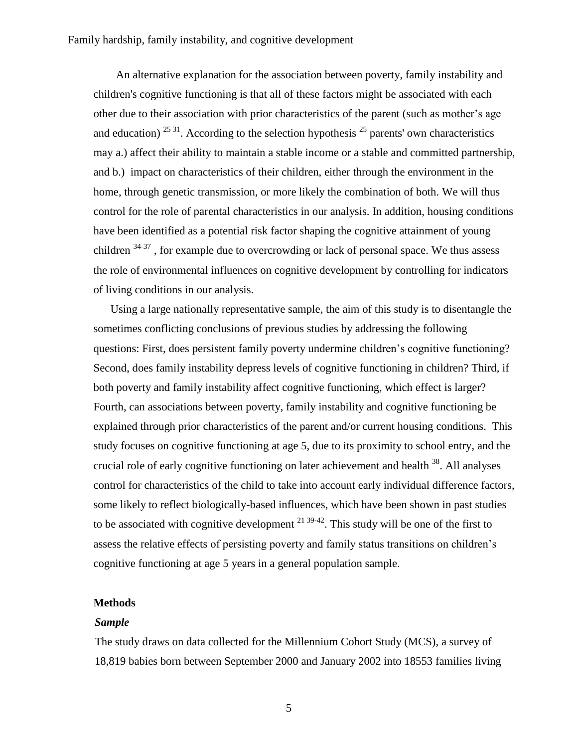An alternative explanation for the association between poverty, family instability and children's cognitive functioning is that all of these factors might be associated with each other due to their association with prior characteristics of the parent (such as mother's age and education)<sup>2531</sup>. According to the selection hypothesis<sup>25</sup> parents' own characteristics may a.) affect their ability to maintain a stable income or a stable and committed partnership, and b.) impact on characteristics of their children, either through the environment in the home, through genetic transmission, or more likely the combination of both. We will thus control for the role of parental characteristics in our analysis. In addition, housing conditions have been identified as a potential risk factor shaping the cognitive attainment of young children  $34-37$ , for example due to overcrowding or lack of personal space. We thus assess the role of environmental influences on cognitive development by controlling for indicators of living conditions in our analysis.

 Using a large nationally representative sample, the aim of this study is to disentangle the sometimes conflicting conclusions of previous studies by addressing the following questions: First, does persistent family poverty undermine children's cognitive functioning? Second, does family instability depress levels of cognitive functioning in children? Third, if both poverty and family instability affect cognitive functioning, which effect is larger? Fourth, can associations between poverty, family instability and cognitive functioning be explained through prior characteristics of the parent and/or current housing conditions. This study focuses on cognitive functioning at age 5, due to its proximity to school entry, and the crucial role of early cognitive functioning on later achievement and health <sup>38</sup>. All analyses control for characteristics of the child to take into account early individual difference factors, some likely to reflect biologically-based influences, which have been shown in past studies to be associated with cognitive development  $2^{139-42}$ . This study will be one of the first to assess the relative effects of persisting poverty and family status transitions on children's cognitive functioning at age 5 years in a general population sample.

## **Methods**

#### *Sample*

The study draws on data collected for the Millennium Cohort Study (MCS), a survey of 18,819 babies born between September 2000 and January 2002 into 18553 families living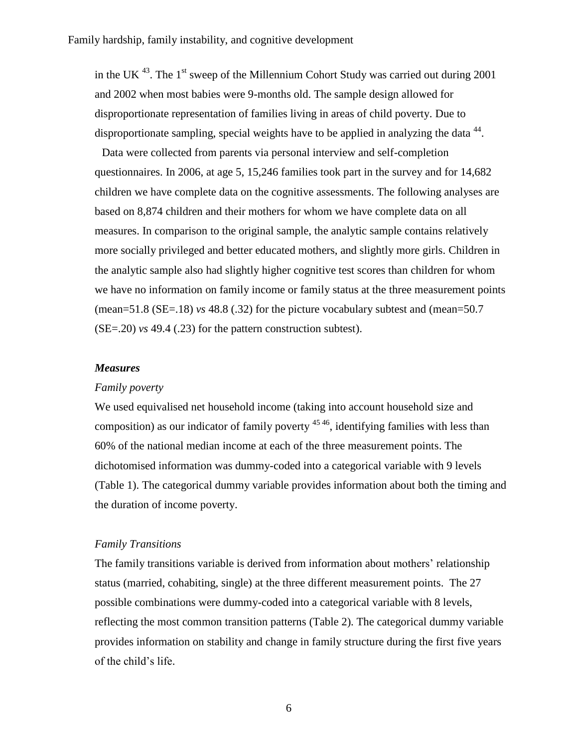in the UK  $^{43}$ . The 1<sup>st</sup> sweep of the Millennium Cohort Study was carried out during 2001 and 2002 when most babies were 9-months old. The sample design allowed for disproportionate representation of families living in areas of child poverty. Due to disproportionate sampling, special weights have to be applied in analyzing the data  $44$ .

Data were collected from parents via personal interview and self-completion questionnaires. In 2006, at age 5, 15,246 families took part in the survey and for 14,682 children we have complete data on the cognitive assessments. The following analyses are based on 8,874 children and their mothers for whom we have complete data on all measures. In comparison to the original sample, the analytic sample contains relatively more socially privileged and better educated mothers, and slightly more girls. Children in the analytic sample also had slightly higher cognitive test scores than children for whom we have no information on family income or family status at the three measurement points (mean=51.8 (SE=.18) *vs* 48.8 (.32) for the picture vocabulary subtest and (mean=50.7 (SE=.20) *vs* 49.4 (.23) for the pattern construction subtest).

### *Measures*

#### *Family poverty*

We used equivalised net household income (taking into account household size and composition) as our indicator of family poverty  $45\frac{46}{10}$ , identifying families with less than 60% of the national median income at each of the three measurement points. The dichotomised information was dummy-coded into a categorical variable with 9 levels (Table 1). The categorical dummy variable provides information about both the timing and the duration of income poverty.

#### *Family Transitions*

The family transitions variable is derived from information about mothers' relationship status (married, cohabiting, single) at the three different measurement points. The 27 possible combinations were dummy-coded into a categorical variable with 8 levels, reflecting the most common transition patterns (Table 2). The categorical dummy variable provides information on stability and change in family structure during the first five years of the child's life.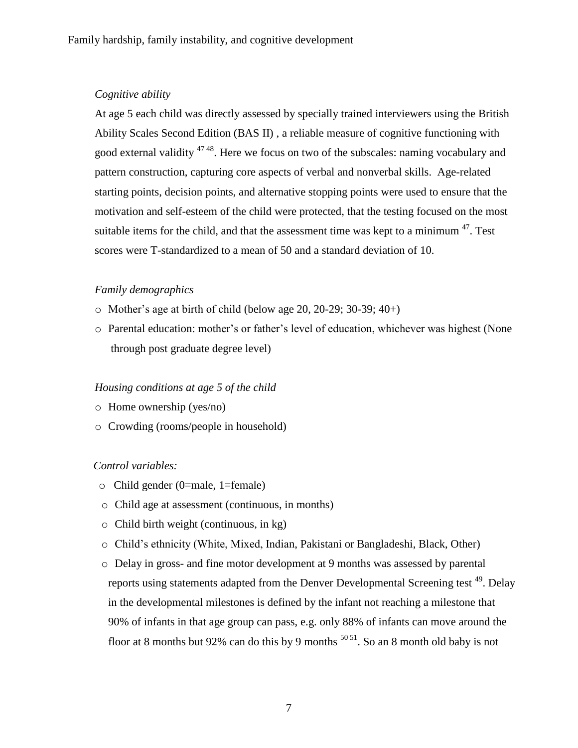## *Cognitive ability*

At age 5 each child was directly assessed by specially trained interviewers using the British Ability Scales Second Edition (BAS II) , a reliable measure of cognitive functioning with good external validity <sup>47 48</sup>. Here we focus on two of the subscales: naming vocabulary and pattern construction, capturing core aspects of verbal and nonverbal skills. Age-related starting points, decision points, and alternative stopping points were used to ensure that the motivation and self-esteem of the child were protected, that the testing focused on the most suitable items for the child, and that the assessment time was kept to a minimum  $47$ . Test scores were T-standardized to a mean of 50 and a standard deviation of 10.

## *Family demographics*

- $\circ$  Mother's age at birth of child (below age 20, 20-29; 30-39; 40+)
- o Parental education: mother's or father's level of education, whichever was highest (None through post graduate degree level)

## *Housing conditions at age 5 of the child*

- o Home ownership (yes/no)
- o Crowding (rooms/people in household)

## *Control variables:*

- o Child gender (0=male, 1=female)
- o Child age at assessment (continuous, in months)
- o Child birth weight (continuous, in kg)
- o Child's ethnicity (White, Mixed, Indian, Pakistani or Bangladeshi, Black, Other)
- o Delay in gross- and fine motor development at 9 months was assessed by parental reports using statements adapted from the Denver Developmental Screening test <sup>49</sup>. Delay in the developmental milestones is defined by the infant not reaching a milestone that 90% of infants in that age group can pass, e.g. only 88% of infants can move around the floor at 8 months but 92% can do this by 9 months  $50\frac{51}{1}$ . So an 8 month old baby is not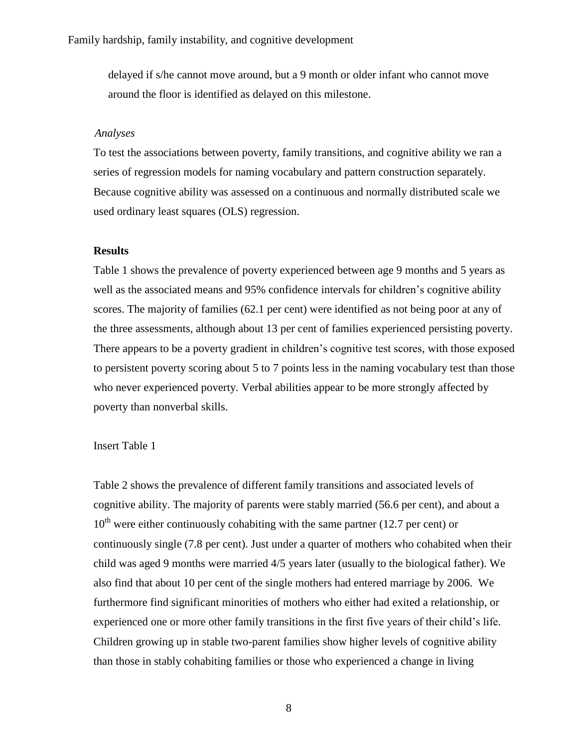delayed if s/he cannot move around, but a 9 month or older infant who cannot move around the floor is identified as delayed on this milestone.

#### *Analyses*

To test the associations between poverty, family transitions, and cognitive ability we ran a series of regression models for naming vocabulary and pattern construction separately. Because cognitive ability was assessed on a continuous and normally distributed scale we used ordinary least squares (OLS) regression.

### **Results**

Table 1 shows the prevalence of poverty experienced between age 9 months and 5 years as well as the associated means and 95% confidence intervals for children's cognitive ability scores. The majority of families (62.1 per cent) were identified as not being poor at any of the three assessments, although about 13 per cent of families experienced persisting poverty. There appears to be a poverty gradient in children's cognitive test scores, with those exposed to persistent poverty scoring about 5 to 7 points less in the naming vocabulary test than those who never experienced poverty. Verbal abilities appear to be more strongly affected by poverty than nonverbal skills.

#### Insert Table 1

Table 2 shows the prevalence of different family transitions and associated levels of cognitive ability. The majority of parents were stably married (56.6 per cent), and about a  $10<sup>th</sup>$  were either continuously cohabiting with the same partner (12.7 per cent) or continuously single (7.8 per cent). Just under a quarter of mothers who cohabited when their child was aged 9 months were married 4/5 years later (usually to the biological father). We also find that about 10 per cent of the single mothers had entered marriage by 2006. We furthermore find significant minorities of mothers who either had exited a relationship, or experienced one or more other family transitions in the first five years of their child's life. Children growing up in stable two-parent families show higher levels of cognitive ability than those in stably cohabiting families or those who experienced a change in living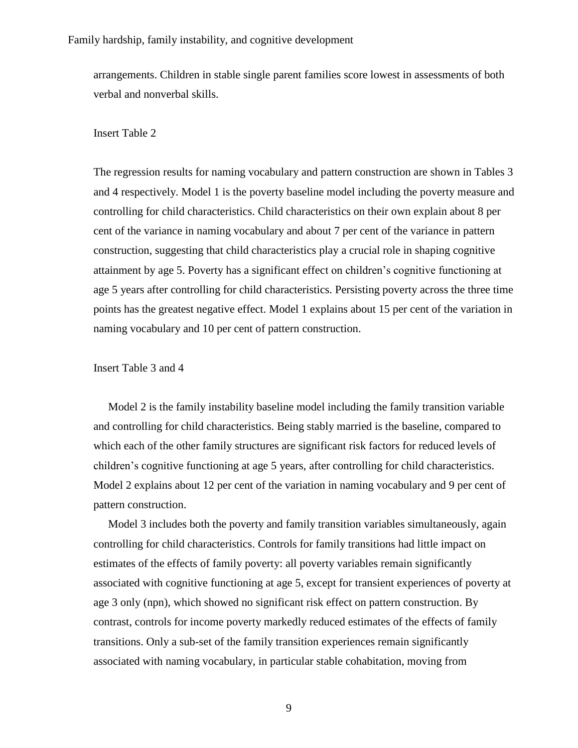arrangements. Children in stable single parent families score lowest in assessments of both verbal and nonverbal skills.

#### Insert Table 2

The regression results for naming vocabulary and pattern construction are shown in Tables 3 and 4 respectively. Model 1 is the poverty baseline model including the poverty measure and controlling for child characteristics. Child characteristics on their own explain about 8 per cent of the variance in naming vocabulary and about 7 per cent of the variance in pattern construction, suggesting that child characteristics play a crucial role in shaping cognitive attainment by age 5. Poverty has a significant effect on children's cognitive functioning at age 5 years after controlling for child characteristics. Persisting poverty across the three time points has the greatest negative effect. Model 1 explains about 15 per cent of the variation in naming vocabulary and 10 per cent of pattern construction.

Insert Table 3 and 4

Model 2 is the family instability baseline model including the family transition variable and controlling for child characteristics. Being stably married is the baseline, compared to which each of the other family structures are significant risk factors for reduced levels of children's cognitive functioning at age 5 years, after controlling for child characteristics. Model 2 explains about 12 per cent of the variation in naming vocabulary and 9 per cent of pattern construction.

Model 3 includes both the poverty and family transition variables simultaneously, again controlling for child characteristics. Controls for family transitions had little impact on estimates of the effects of family poverty: all poverty variables remain significantly associated with cognitive functioning at age 5, except for transient experiences of poverty at age 3 only (npn), which showed no significant risk effect on pattern construction. By contrast, controls for income poverty markedly reduced estimates of the effects of family transitions. Only a sub-set of the family transition experiences remain significantly associated with naming vocabulary, in particular stable cohabitation, moving from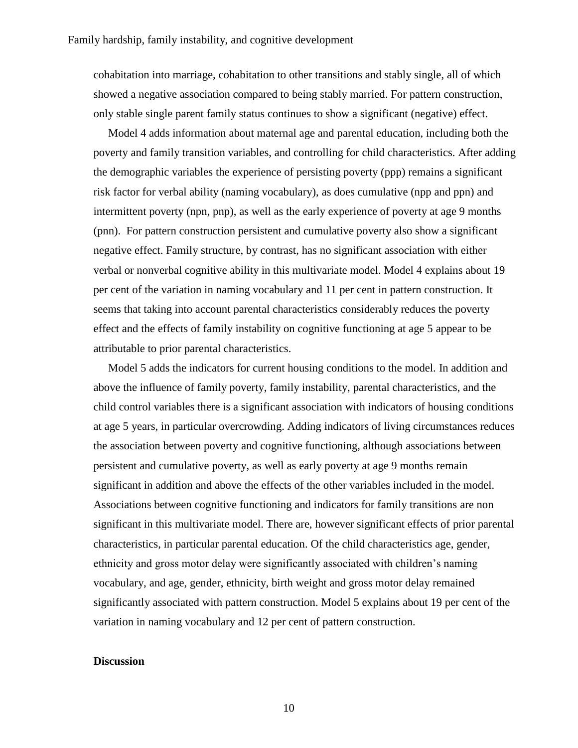cohabitation into marriage, cohabitation to other transitions and stably single, all of which showed a negative association compared to being stably married. For pattern construction, only stable single parent family status continues to show a significant (negative) effect.

Model 4 adds information about maternal age and parental education, including both the poverty and family transition variables, and controlling for child characteristics. After adding the demographic variables the experience of persisting poverty (ppp) remains a significant risk factor for verbal ability (naming vocabulary), as does cumulative (npp and ppn) and intermittent poverty (npn, pnp), as well as the early experience of poverty at age 9 months (pnn). For pattern construction persistent and cumulative poverty also show a significant negative effect. Family structure, by contrast, has no significant association with either verbal or nonverbal cognitive ability in this multivariate model. Model 4 explains about 19 per cent of the variation in naming vocabulary and 11 per cent in pattern construction. It seems that taking into account parental characteristics considerably reduces the poverty effect and the effects of family instability on cognitive functioning at age 5 appear to be attributable to prior parental characteristics.

Model 5 adds the indicators for current housing conditions to the model. In addition and above the influence of family poverty, family instability, parental characteristics, and the child control variables there is a significant association with indicators of housing conditions at age 5 years, in particular overcrowding. Adding indicators of living circumstances reduces the association between poverty and cognitive functioning, although associations between persistent and cumulative poverty, as well as early poverty at age 9 months remain significant in addition and above the effects of the other variables included in the model. Associations between cognitive functioning and indicators for family transitions are non significant in this multivariate model. There are, however significant effects of prior parental characteristics, in particular parental education. Of the child characteristics age, gender, ethnicity and gross motor delay were significantly associated with children's naming vocabulary, and age, gender, ethnicity, birth weight and gross motor delay remained significantly associated with pattern construction. Model 5 explains about 19 per cent of the variation in naming vocabulary and 12 per cent of pattern construction.

## **Discussion**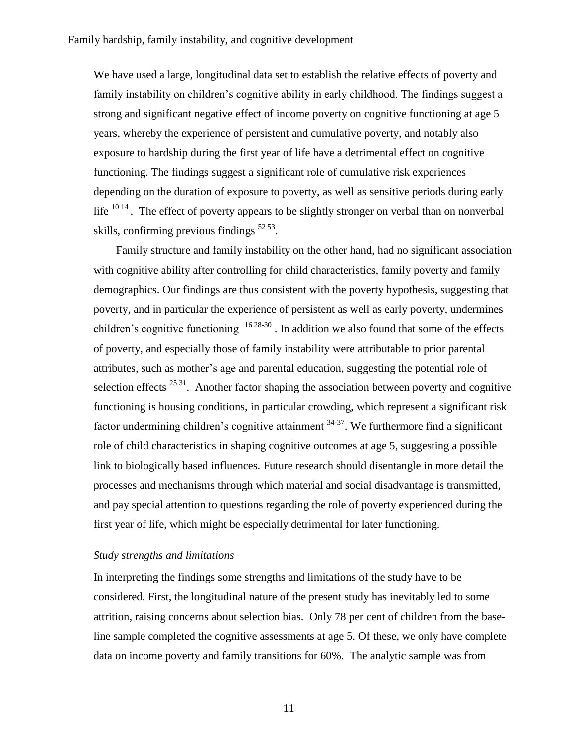We have used a large, longitudinal data set to establish the relative effects of poverty and family instability on children's cognitive ability in early childhood. The findings suggest a strong and significant negative effect of income poverty on cognitive functioning at age 5 years, whereby the experience of persistent and cumulative poverty, and notably also exposure to hardship during the first year of life have a detrimental effect on cognitive functioning. The findings suggest a significant role of cumulative risk experiences depending on the duration of exposure to poverty, as well as sensitive periods during early life  $10^{14}$ . The effect of poverty appears to be slightly stronger on verbal than on nonverbal skills, confirming previous findings <sup>52 53</sup>.

 Family structure and family instability on the other hand, had no significant association with cognitive ability after controlling for child characteristics, family poverty and family demographics. Our findings are thus consistent with the poverty hypothesis, suggesting that poverty, and in particular the experience of persistent as well as early poverty, undermines children's cognitive functioning  $16\frac{28-30}{16}$ . In addition we also found that some of the effects of poverty, and especially those of family instability were attributable to prior parental attributes, such as mother's age and parental education, suggesting the potential role of selection effects  $2531$ . Another factor shaping the association between poverty and cognitive functioning is housing conditions, in particular crowding, which represent a significant risk factor undermining children's cognitive attainment  $34-37$ . We furthermore find a significant role of child characteristics in shaping cognitive outcomes at age 5, suggesting a possible link to biologically based influences. Future research should disentangle in more detail the processes and mechanisms through which material and social disadvantage is transmitted, and pay special attention to questions regarding the role of poverty experienced during the first year of life, which might be especially detrimental for later functioning.

### *Study strengths and limitations*

In interpreting the findings some strengths and limitations of the study have to be considered. First, the longitudinal nature of the present study has inevitably led to some attrition, raising concerns about selection bias. Only 78 per cent of children from the baseline sample completed the cognitive assessments at age 5. Of these, we only have complete data on income poverty and family transitions for 60%. The analytic sample was from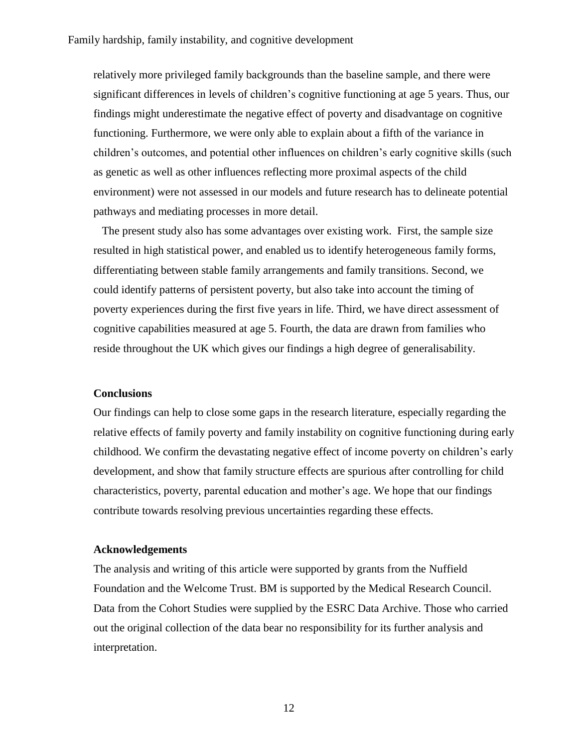relatively more privileged family backgrounds than the baseline sample, and there were significant differences in levels of children's cognitive functioning at age 5 years. Thus, our findings might underestimate the negative effect of poverty and disadvantage on cognitive functioning. Furthermore, we were only able to explain about a fifth of the variance in children's outcomes, and potential other influences on children's early cognitive skills (such as genetic as well as other influences reflecting more proximal aspects of the child environment) were not assessed in our models and future research has to delineate potential pathways and mediating processes in more detail.

The present study also has some advantages over existing work. First, the sample size resulted in high statistical power, and enabled us to identify heterogeneous family forms, differentiating between stable family arrangements and family transitions. Second, we could identify patterns of persistent poverty, but also take into account the timing of poverty experiences during the first five years in life. Third, we have direct assessment of cognitive capabilities measured at age 5. Fourth, the data are drawn from families who reside throughout the UK which gives our findings a high degree of generalisability.

#### **Conclusions**

Our findings can help to close some gaps in the research literature, especially regarding the relative effects of family poverty and family instability on cognitive functioning during early childhood. We confirm the devastating negative effect of income poverty on children's early development, and show that family structure effects are spurious after controlling for child characteristics, poverty, parental education and mother's age. We hope that our findings contribute towards resolving previous uncertainties regarding these effects.

### **Acknowledgements**

The analysis and writing of this article were supported by grants from the Nuffield Foundation and the Welcome Trust. BM is supported by the Medical Research Council. Data from the Cohort Studies were supplied by the ESRC Data Archive. Those who carried out the original collection of the data bear no responsibility for its further analysis and interpretation.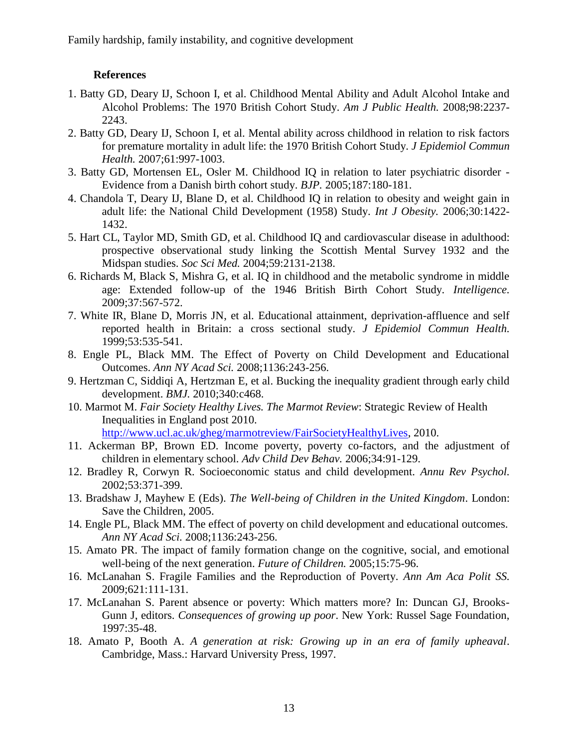## **References**

- 1. Batty GD, Deary IJ, Schoon I, et al. Childhood Mental Ability and Adult Alcohol Intake and Alcohol Problems: The 1970 British Cohort Study. *Am J Public Health.* 2008;98:2237- 2243.
- 2. Batty GD, Deary IJ, Schoon I, et al. Mental ability across childhood in relation to risk factors for premature mortality in adult life: the 1970 British Cohort Study. *J Epidemiol Commun Health.* 2007;61:997-1003.
- 3. Batty GD, Mortensen EL, Osler M. Childhood IQ in relation to later psychiatric disorder Evidence from a Danish birth cohort study. *BJP.* 2005;187:180-181.
- 4. Chandola T, Deary IJ, Blane D, et al. Childhood IQ in relation to obesity and weight gain in adult life: the National Child Development (1958) Study. *Int J Obesity.* 2006;30:1422- 1432.
- 5. Hart CL, Taylor MD, Smith GD, et al. Childhood IQ and cardiovascular disease in adulthood: prospective observational study linking the Scottish Mental Survey 1932 and the Midspan studies. *Soc Sci Med.* 2004;59:2131-2138.
- 6. Richards M, Black S, Mishra G, et al. IQ in childhood and the metabolic syndrome in middle age: Extended follow-up of the 1946 British Birth Cohort Study. *Intelligence.* 2009;37:567-572.
- 7. White IR, Blane D, Morris JN, et al. Educational attainment, deprivation-affluence and self reported health in Britain: a cross sectional study. *J Epidemiol Commun Health.* 1999;53:535-541.
- 8. Engle PL, Black MM. The Effect of Poverty on Child Development and Educational Outcomes. *Ann NY Acad Sci.* 2008;1136:243-256.
- 9. Hertzman C, Siddiqi A, Hertzman E, et al. Bucking the inequality gradient through early child development. *BMJ.* 2010;340:c468.
- 10. Marmot M. *Fair Society Healthy Lives. The Marmot Review*: Strategic Review of Health Inequalities in England post 2010.

[http://www.ucl.ac.uk/gheg/marmotreview/FairSocietyHealthyLives,](http://www.ucl.ac.uk/gheg/marmotreview/FairSocietyHealthyLives) 2010.

- 11. Ackerman BP, Brown ED. Income poverty, poverty co-factors, and the adjustment of children in elementary school. *Adv Child Dev Behav.* 2006;34:91-129.
- 12. Bradley R, Corwyn R. Socioeconomic status and child development. *Annu Rev Psychol.* 2002;53:371-399.
- 13. Bradshaw J, Mayhew E (Eds). *The Well-being of Children in the United Kingdom*. London: Save the Children, 2005.
- 14. Engle PL, Black MM. The effect of poverty on child development and educational outcomes. *Ann NY Acad Sci.* 2008;1136:243-256.
- 15. Amato PR. The impact of family formation change on the cognitive, social, and emotional well-being of the next generation. *Future of Children.* 2005;15:75-96.
- 16. McLanahan S. Fragile Families and the Reproduction of Poverty. *Ann Am Aca Polit SS.* 2009;621:111-131.
- 17. McLanahan S. Parent absence or poverty: Which matters more? In: Duncan GJ, Brooks-Gunn J, editors. *Consequences of growing up poor*. New York: Russel Sage Foundation, 1997:35-48.
- 18. Amato P, Booth A. *A generation at risk: Growing up in an era of family upheaval*. Cambridge, Mass.: Harvard University Press, 1997.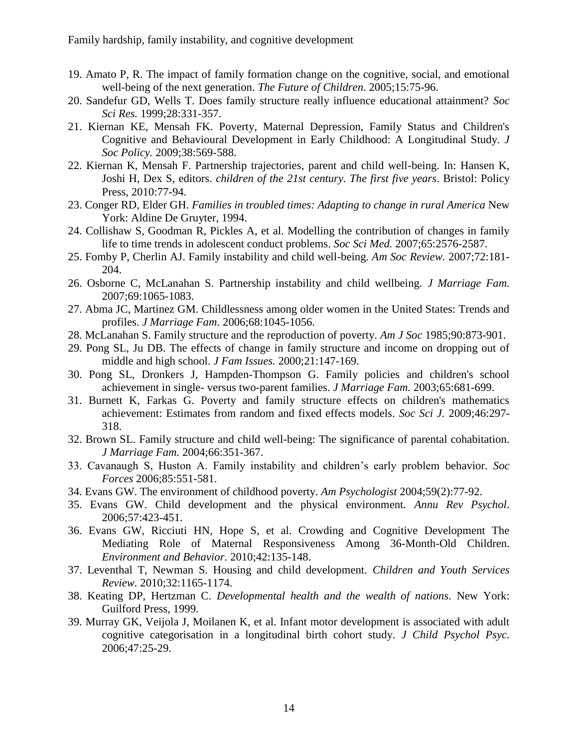- 19. Amato P, R. The impact of family formation change on the cognitive, social, and emotional well-being of the next generation. *The Future of Children*. 2005;15:75-96.
- 20. Sandefur GD, Wells T. Does family structure really influence educational attainment? *Soc Sci Res.* 1999;28:331-357.
- 21. Kiernan KE, Mensah FK. Poverty, Maternal Depression, Family Status and Children's Cognitive and Behavioural Development in Early Childhood: A Longitudinal Study. *J Soc Policy.* 2009;38:569-588.
- 22. Kiernan K, Mensah F. Partnership trajectories, parent and child well-being. In: Hansen K, Joshi H, Dex S, editors. *children of the 21st century. The first five years*. Bristol: Policy Press, 2010:77-94.
- 23. Conger RD, Elder GH. *Families in troubled times: Adapting to change in rural America* New York: Aldine De Gruyter, 1994.
- 24. Collishaw S, Goodman R, Pickles A, et al. Modelling the contribution of changes in family life to time trends in adolescent conduct problems. *Soc Sci Med.* 2007;65:2576-2587.
- 25. Fomby P, Cherlin AJ. Family instability and child well-being. *Am Soc Review.* 2007;72:181- 204.
- 26. Osborne C, McLanahan S. Partnership instability and child wellbeing. *J Marriage Fam.* 2007;69:1065-1083.
- 27. Abma JC, Martinez GM. Childlessness among older women in the United States: Trends and profiles. *J Marriage Fam.* 2006;68:1045-1056.
- 28. McLanahan S. Family structure and the reproduction of poverty. *Am J Soc* 1985;90:873-901.
- 29. Pong SL, Ju DB. The effects of change in family structure and income on dropping out of middle and high school. *J Fam Issues.* 2000;21:147-169.
- 30. Pong SL, Dronkers J, Hampden-Thompson G. Family policies and children's school achievement in single- versus two-parent families. *J Marriage Fam.* 2003;65:681-699.
- 31. Burnett K, Farkas G. Poverty and family structure effects on children's mathematics achievement: Estimates from random and fixed effects models. *Soc Sci J.* 2009;46:297- 318.
- 32. Brown SL. Family structure and child well-being: The significance of parental cohabitation. *J Marriage Fam.* 2004;66:351-367.
- 33. Cavanaugh S, Huston A. Family instability and children's early problem behavior. *Soc Forces* 2006;85:551-581.
- 34. Evans GW. The environment of childhood poverty. *Am Psychologist* 2004;59(2):77-92.
- 35. Evans GW. Child development and the physical environment. *Annu Rev Psychol*. 2006;57:423-451.
- 36. Evans GW, Ricciuti HN, Hope S, et al. Crowding and Cognitive Development The Mediating Role of Maternal Responsiveness Among 36-Month-Old Children. *Environment and Behavior.* 2010;42:135-148.
- 37. Leventhal T, Newman S. Housing and child development. *Children and Youth Services Review.* 2010;32:1165-1174.
- 38. Keating DP, Hertzman C. *Developmental health and the wealth of nations*. New York: Guilford Press, 1999.
- 39. Murray GK, Veijola J, Moilanen K, et al. Infant motor development is associated with adult cognitive categorisation in a longitudinal birth cohort study. *J Child Psychol Psyc.* 2006;47:25-29.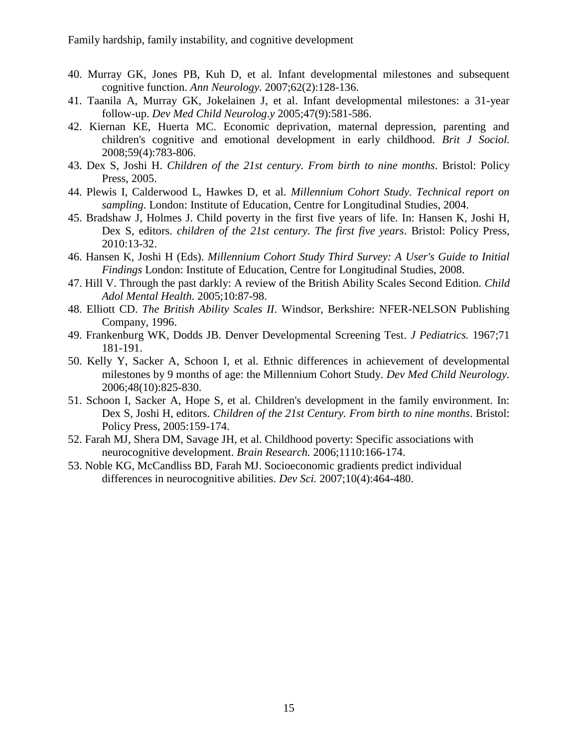- 40. Murray GK, Jones PB, Kuh D, et al. Infant developmental milestones and subsequent cognitive function. *Ann Neurology.* 2007;62(2):128-136.
- 41. Taanila A, Murray GK, Jokelainen J, et al. Infant developmental milestones: a 31-year follow-up. *Dev Med Child Neurolog.y* 2005;47(9):581-586.
- 42. Kiernan KE, Huerta MC. Economic deprivation, maternal depression, parenting and children's cognitive and emotional development in early childhood. *Brit J Sociol.* 2008;59(4):783-806.
- 43. Dex S, Joshi H. *Children of the 21st century. From birth to nine months*. Bristol: Policy Press, 2005.
- 44. Plewis I, Calderwood L, Hawkes D, et al. *Millennium Cohort Study. Technical report on sampling*. London: Institute of Education, Centre for Longitudinal Studies, 2004.
- 45. Bradshaw J, Holmes J. Child poverty in the first five years of life. In: Hansen K, Joshi H, Dex S, editors. *children of the 21st century. The first five years*. Bristol: Policy Press, 2010:13-32.
- 46. Hansen K, Joshi H (Eds). *Millennium Cohort Study Third Survey: A User's Guide to Initial Findings* London: Institute of Education, Centre for Longitudinal Studies, 2008.
- 47. Hill V. Through the past darkly: A review of the British Ability Scales Second Edition. *Child Adol Mental Health.* 2005;10:87-98.
- 48. Elliott CD. *The British Ability Scales II*. Windsor, Berkshire: NFER-NELSON Publishing Company, 1996.
- 49. Frankenburg WK, Dodds JB. Denver Developmental Screening Test. *J Pediatrics.* 1967;71 181-191.
- 50. Kelly Y, Sacker A, Schoon I, et al. Ethnic differences in achievement of developmental milestones by 9 months of age: the Millennium Cohort Study. *Dev Med Child Neurology.* 2006;48(10):825-830.
- 51. Schoon I, Sacker A, Hope S, et al. Children's development in the family environment. In: Dex S, Joshi H, editors. *Children of the 21st Century. From birth to nine months*. Bristol: Policy Press, 2005:159-174.
- 52. Farah MJ, Shera DM, Savage JH, et al. Childhood poverty: Specific associations with neurocognitive development. *Brain Research.* 2006;1110:166-174.
- 53. Noble KG, McCandliss BD, Farah MJ. Socioeconomic gradients predict individual differences in neurocognitive abilities. *Dev Sci.* 2007;10(4):464-480.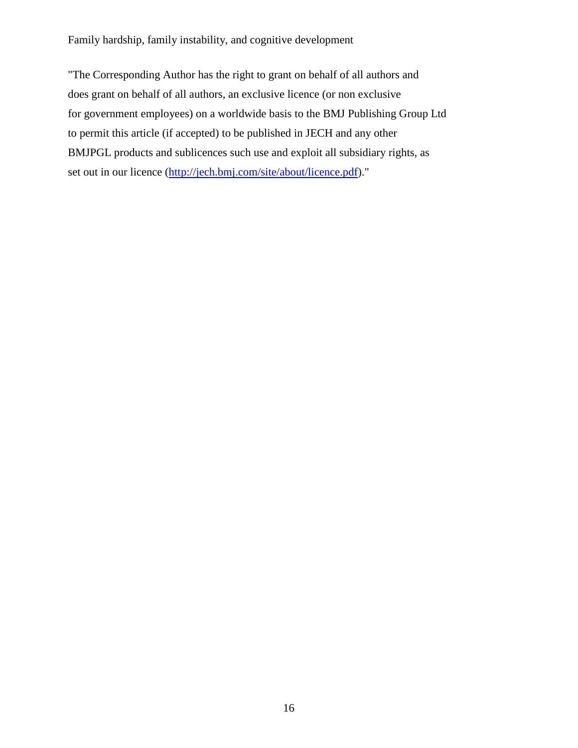"The Corresponding Author has the right to grant on behalf of all authors and does grant on behalf of all authors, an exclusive licence (or non exclusive for government employees) on a worldwide basis to the BMJ Publishing Group Ltd to permit this article (if accepted) to be published in JECH and any other BMJPGL products and sublicences such use and exploit all subsidiary rights, as set out in our licence [\(http://jech.bmj.com/site/about/licence.pdf\)](https://portal.ioe.ac.uk/https/mail.ioe.ac.uk/owa/redir.aspx?C=532985062a62483d81fb7b7ba3704538&URL=http%3a%2f%2fjech.bmj.com%2fsite%2fabout%2flicence.pdf)."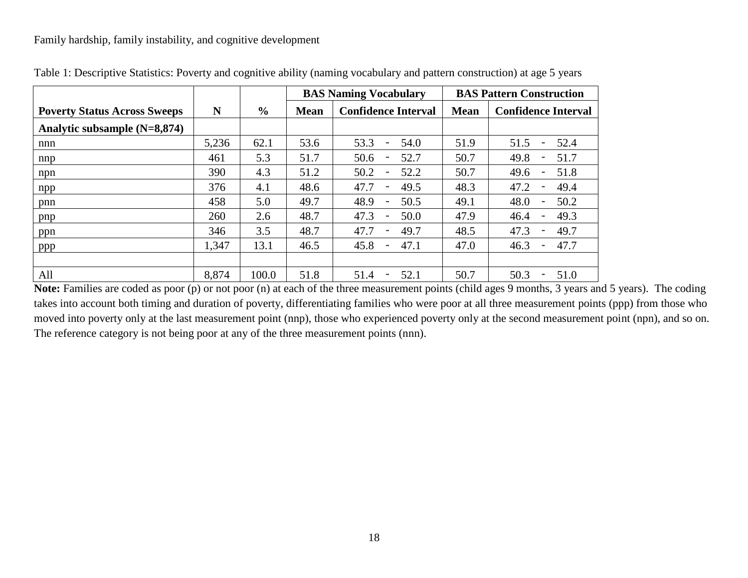|                                     |       |       |             | <b>BAS Naming Vocabulary</b>             | <b>BAS Pattern Construction</b> |                                          |  |  |
|-------------------------------------|-------|-------|-------------|------------------------------------------|---------------------------------|------------------------------------------|--|--|
| <b>Poverty Status Across Sweeps</b> | N     | $\%$  | <b>Mean</b> | <b>Confidence Interval</b>               | <b>Mean</b>                     | <b>Confidence Interval</b>               |  |  |
| Analytic subsample $(N=8,874)$      |       |       |             |                                          |                                 |                                          |  |  |
| nnn                                 | 5,236 | 62.1  | 53.6        | 53.3<br>54.0<br>$\overline{\phantom{a}}$ | 51.9                            | 51.5<br>52.4<br>$\overline{\phantom{0}}$ |  |  |
| nnp                                 | 461   | 5.3   | 51.7        | 50.6<br>52.7                             | 50.7                            | 49.8<br>51.7<br>$\overline{\phantom{a}}$ |  |  |
| npn                                 | 390   | 4.3   | 51.2        | 50.2<br>52.2                             | 50.7                            | 49.6<br>51.8<br>$\overline{\phantom{a}}$ |  |  |
| npp                                 | 376   | 4.1   | 48.6        | 47.7<br>49.5                             | 48.3                            | 47.2<br>49.4<br>$\overline{\phantom{0}}$ |  |  |
| pnn                                 | 458   | 5.0   | 49.7        | 48.9<br>50.5<br>$\overline{\phantom{0}}$ | 49.1                            | 48.0<br>50.2<br>$\overline{\phantom{a}}$ |  |  |
| pnp                                 | 260   | 2.6   | 48.7        | 47.3<br>50.0<br>$\overline{\phantom{a}}$ | 47.9                            | 46.4<br>49.3<br>$\qquad \qquad -$        |  |  |
| ppn                                 | 346   | 3.5   | 48.7        | 47.7<br>49.7<br>$\qquad \qquad -$        | 48.5                            | 47.3<br>49.7<br>$\qquad \qquad -$        |  |  |
| ppp                                 | 1,347 | 13.1  | 46.5        | 45.8<br>47.1                             | 47.0                            | 46.3<br>47.7                             |  |  |
|                                     |       |       |             |                                          |                                 |                                          |  |  |
| All                                 | 8,874 | 100.0 | 51.8        | 51.4<br>52.1<br>$\overline{\phantom{a}}$ | 50.7                            | 50.3<br>51.0<br>$\overline{\phantom{a}}$ |  |  |

| Table 1: Descriptive Statistics: Poverty and cognitive ability (naming vocabulary and pattern construction) at age 5 years |  |
|----------------------------------------------------------------------------------------------------------------------------|--|
|----------------------------------------------------------------------------------------------------------------------------|--|

Note: Families are coded as poor (p) or not poor (n) at each of the three measurement points (child ages 9 months, 3 years and 5 years). The coding takes into account both timing and duration of poverty, differentiating families who were poor at all three measurement points (ppp) from those who moved into poverty only at the last measurement point (nnp), those who experienced poverty only at the second measurement point (npn), and so on. The reference category is not being poor at any of the three measurement points (nnn).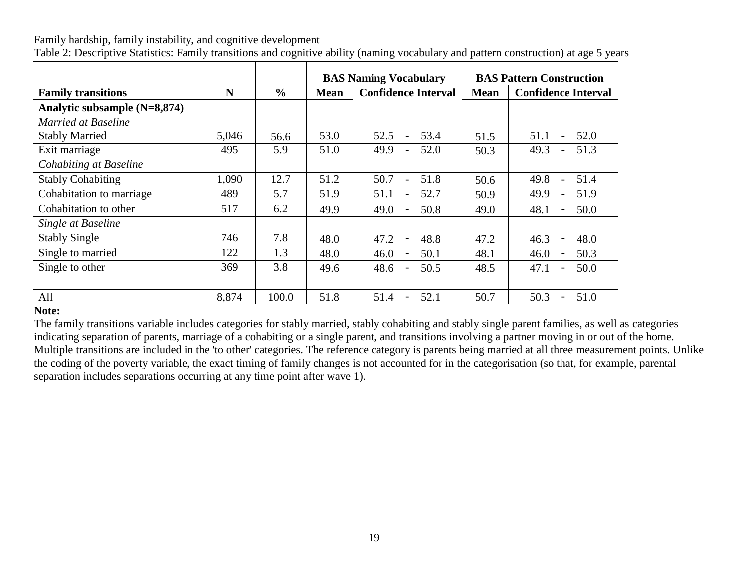|                              |       |               |             | <b>BAS Naming Vocabulary</b>             | <b>BAS Pattern Construction</b> |                                          |  |  |
|------------------------------|-------|---------------|-------------|------------------------------------------|---------------------------------|------------------------------------------|--|--|
| <b>Family transitions</b>    | N     | $\frac{0}{0}$ | <b>Mean</b> | <b>Confidence Interval</b>               |                                 |                                          |  |  |
| Analytic subsample (N=8,874) |       |               |             |                                          |                                 |                                          |  |  |
| <b>Married at Baseline</b>   |       |               |             |                                          |                                 |                                          |  |  |
| <b>Stably Married</b>        | 5,046 | 56.6          | 53.0        | 53.4<br>52.5                             | 51.5                            | 52.0<br>51.1<br>$\overline{a}$           |  |  |
| Exit marriage                | 495   | 5.9           | 51.0        | 49.9<br>52.0<br>$\overline{\phantom{a}}$ | 50.3                            | 51.3<br>49.3                             |  |  |
| Cohabiting at Baseline       |       |               |             |                                          |                                 |                                          |  |  |
| <b>Stably Cohabiting</b>     | 1,090 | 12.7          | 51.2        | 50.7<br>51.8                             | 50.6                            | 49.8<br>51.4                             |  |  |
| Cohabitation to marriage     | 489   | 5.7           | 51.9        | 51.1<br>52.7                             | 50.9                            | 49.9<br>51.9<br>$\overline{\phantom{a}}$ |  |  |
| Cohabitation to other        | 517   | 6.2           | 49.9        | 50.8<br>49.0                             | 49.0                            | 48.1<br>50.0                             |  |  |
| Single at Baseline           |       |               |             |                                          |                                 |                                          |  |  |
| <b>Stably Single</b>         | 746   | 7.8           | 48.0        | 47.2<br>48.8<br>$\overline{\phantom{a}}$ | 47.2                            | 46.3<br>48.0<br>$\overline{a}$           |  |  |
| Single to married            | 122   | 1.3           | 48.0        | 50.1<br>46.0                             | 48.1                            | 50.3<br>46.0                             |  |  |
| Single to other              | 369   | 3.8           | 49.6        | 50.5<br>48.6                             | 48.5                            | 47.1<br>50.0                             |  |  |
|                              |       |               |             |                                          |                                 |                                          |  |  |
| All                          | 8,874 | 100.0         | 51.8        | 52.1<br>51.4<br>$\overline{\phantom{a}}$ | 50.7                            | 50.3<br>51.0<br>$\overline{\phantom{0}}$ |  |  |

Table 2: Descriptive Statistics: Family transitions and cognitive ability (naming vocabulary and pattern construction) at age 5 years

## **Note:**

The family transitions variable includes categories for stably married, stably cohabiting and stably single parent families, as well as categories indicating separation of parents, marriage of a cohabiting or a single parent, and transitions involving a partner moving in or out of the home. Multiple transitions are included in the 'to other' categories. The reference category is parents being married at all three measurement points. Unlike the coding of the poverty variable, the exact timing of family changes is not accounted for in the categorisation (so that, for example, parental separation includes separations occurring at any time point after wave 1).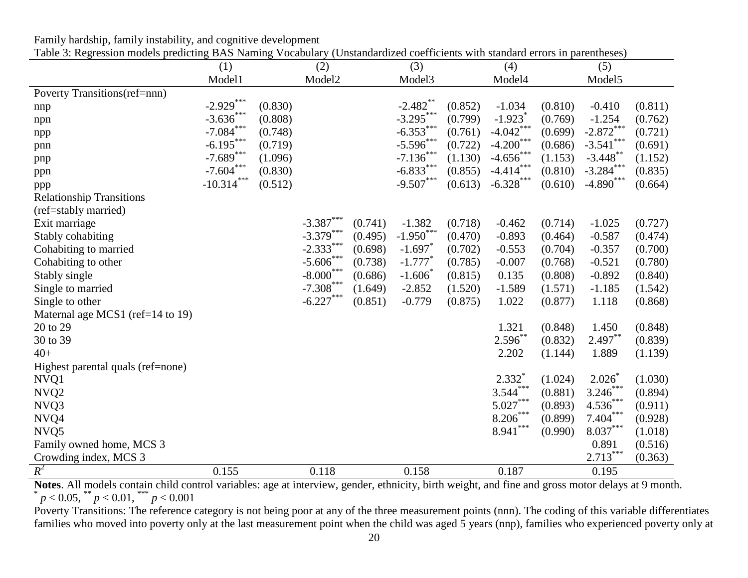|                                   | (1)          |         | (2)          |         | (3)                   |         | (4)                   |         | (5)                    |         |
|-----------------------------------|--------------|---------|--------------|---------|-----------------------|---------|-----------------------|---------|------------------------|---------|
|                                   | Model1       |         | Model2       |         | Model3                |         | Model4                |         | Model5                 |         |
| Poverty Transitions(ref=nnn)      |              |         |              |         |                       |         |                       |         |                        |         |
| nnp                               | $-2.929***$  | (0.830) |              |         | $-2.482$ **           | (0.852) | $-1.034$              | (0.810) | $-0.410$               | (0.811) |
| npn                               | $-3.636$ *** | (0.808) |              |         | $-3.295***$           | (0.799) | $-1.923$ <sup>*</sup> | (0.769) | $-1.254$               | (0.762) |
| npp                               | $-7.084***$  | (0.748) |              |         | $-6.353***$           | (0.761) | $-4.042$ ***          | (0.699) | $-2.872***$            | (0.721) |
| pnn                               | $-6.195***$  | (0.719) |              |         | $-5.596$ ***          | (0.722) | $-4.200***$           | (0.686) | $-3.541***$            | (0.691) |
| pnp                               | $-7.689***$  | (1.096) |              |         | $-7.136***$           | (1.130) | $-4.656$ ***          | (1.153) | $-3.448$ **            | (1.152) |
| ppn                               | $-7.604***$  | (0.830) |              |         | $-6.833***$           | (0.855) | $-4.414***$           | (0.810) | $-3.284$ ***           | (0.835) |
| ppp                               | $-10.314***$ | (0.512) |              |         | $-9.507***$           | (0.613) | $-6.328$ ***          | (0.610) | $-4.890***$            | (0.664) |
| <b>Relationship Transitions</b>   |              |         |              |         |                       |         |                       |         |                        |         |
| (ref=stably married)              |              |         |              |         |                       |         |                       |         |                        |         |
| Exit marriage                     |              |         | $-3.387***$  | (0.741) | $-1.382$              | (0.718) | $-0.462$              | (0.714) | $-1.025$               | (0.727) |
| Stably cohabiting                 |              |         | $-3.379***$  | (0.495) | $-1.950^*$            | (0.470) | $-0.893$              | (0.464) | $-0.587$               | (0.474) |
| Cohabiting to married             |              |         | $-2.333***$  | (0.698) | $-1.697$              | (0.702) | $-0.553$              | (0.704) | $-0.357$               | (0.700) |
| Cohabiting to other               |              |         | $-5.606$ *** | (0.738) | $-1.777$ <sup>*</sup> | (0.785) | $-0.007$              | (0.768) | $-0.521$               | (0.780) |
| Stably single                     |              |         | $-8.000***$  | (0.686) | $-1.606$              | (0.815) | 0.135                 | (0.808) | $-0.892$               | (0.840) |
| Single to married                 |              |         | $-7.308***$  | (1.649) | $-2.852$              | (1.520) | $-1.589$              | (1.571) | $-1.185$               | (1.542) |
| Single to other                   |              |         | $-6.227***$  | (0.851) | $-0.779$              | (0.875) | 1.022                 | (0.877) | 1.118                  | (0.868) |
| Maternal age MCS1 (ref=14 to 19)  |              |         |              |         |                       |         |                       |         |                        |         |
| 20 to 29                          |              |         |              |         |                       |         | 1.321                 | (0.848) | 1.450                  | (0.848) |
| 30 to 39                          |              |         |              |         |                       |         | $2.596***$            | (0.832) | $2.497***$             | (0.839) |
| $40+$                             |              |         |              |         |                       |         | 2.202                 | (1.144) | 1.889                  | (1.139) |
| Highest parental quals (ref=none) |              |         |              |         |                       |         |                       |         |                        |         |
| NVQ1                              |              |         |              |         |                       |         | $2.332*$              | (1.024) | 2.026                  | (1.030) |
| NVQ <sub>2</sub>                  |              |         |              |         |                       |         | $3.544***$            | (0.881) | $3.246***$             | (0.894) |
| NVQ3                              |              |         |              |         |                       |         | $5.027***$            | (0.893) | $4.536***$             | (0.911) |
| NVQ4                              |              |         |              |         |                       |         | $8.206***$            | (0.899) | $7.404***$             | (0.928) |
| NVQ5                              |              |         |              |         |                       |         | ***<br>8.941          | (0.990) | $\textbf{8.037}^{***}$ | (1.018) |
| Family owned home, MCS 3          |              |         |              |         |                       |         |                       |         | 0.891                  | (0.516) |
| Crowding index, MCS 3             |              |         |              |         |                       |         |                       |         | $2.713***$             | (0.363) |
| $R^2$                             | 0.155        |         | 0.118        |         | 0.158                 |         | 0.187                 |         | 0.195                  |         |

Family hardship, family instability, and cognitive development Table 3: Regression models predicting BAS Naming Vocabulary (Unstandardized coefficients with standard errors in parentheses)

Notes. All models contain child control variables: age at interview, gender, ethnicity, birth weight, and fine and gross motor delays at 9 month.<br>
<sup>\*</sup> *p* < 0.05, \*\* *p* < 0.01, \*\*\* *p* < 0.001

Poverty Transitions: The reference category is not being poor at any of the three measurement points (nnn). The coding of this variable differentiates families who moved into poverty only at the last measurement point when the child was aged 5 years (nnp), families who experienced poverty only at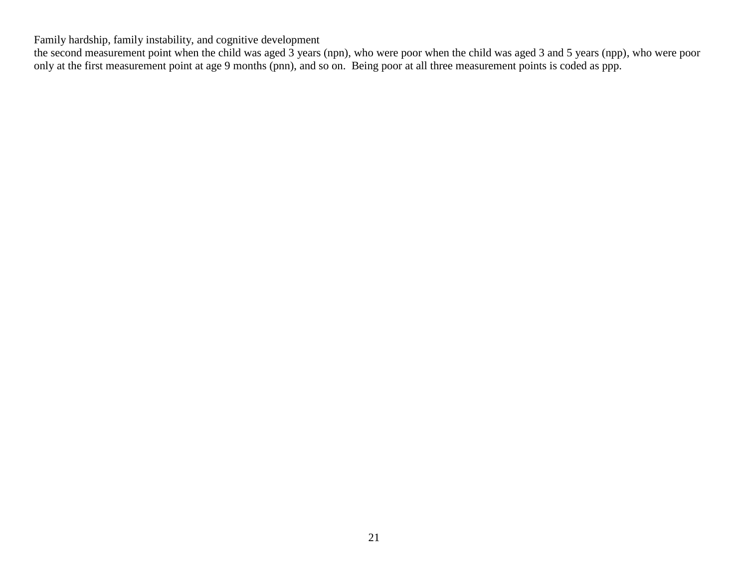the second measurement point when the child was aged 3 years (npn), who were poor when the child was aged 3 and 5 years (npp), who were poor only at the first measurement point at age 9 months (pnn), and so on. Being poor at all three measurement points is coded as ppp.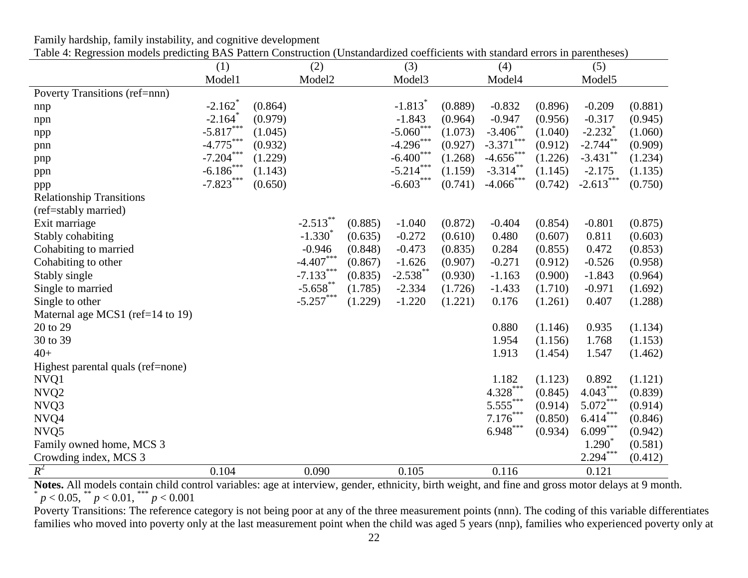|                                   | (1)                   |         | (2)          |         | (3)                     |         | (4)          |         | (5)                   |         |
|-----------------------------------|-----------------------|---------|--------------|---------|-------------------------|---------|--------------|---------|-----------------------|---------|
|                                   | Model1                |         | Model2       |         | Model3                  |         | Model4       |         | Model5                |         |
| Poverty Transitions (ref=nnn)     |                       |         |              |         |                         |         |              |         |                       |         |
| nnp                               | $-2.162$ <sup>*</sup> | (0.864) |              |         | $-1.813$ <sup>*</sup>   | (0.889) | $-0.832$     | (0.896) | $-0.209$              | (0.881) |
| npn                               | $-2.164$ <sup>*</sup> | (0.979) |              |         | $-1.843$                | (0.964) | $-0.947$     | (0.956) | $-0.317$              | (0.945) |
| npp                               | $-5.817***$           | (1.045) |              |         | $-5.060$ <sup>***</sup> | (1.073) | $-3.406$ **  | (1.040) | $-2.232$ <sup>*</sup> | (1.060) |
| pnn                               | $-4.775***$           | (0.932) |              |         | $-4.296$ ***            | (0.927) | $-3.371***$  | (0.912) | $-2.744$ **           | (0.909) |
| pnp                               | $-7.204***$           | (1.229) |              |         | $-6.400***$             | (1.268) | $-4.656***$  | (1.226) | $-3.431***$           | (1.234) |
| ppn                               | $-6.186$ ***          | (1.143) |              |         | $-5.214***$             | (1.159) | $-3.314$ **  | (1.145) | $-2.175$              | (1.135) |
| ppp                               | $-7.823***$           | (0.650) |              |         | $-6.603***$             | (0.741) | $-4.066$ *** | (0.742) | $-2.613***$           | (0.750) |
| <b>Relationship Transitions</b>   |                       |         |              |         |                         |         |              |         |                       |         |
| (ref=stably married)              |                       |         |              |         |                         |         |              |         |                       |         |
| Exit marriage                     |                       |         | $-2.513***$  | (0.885) | $-1.040$                | (0.872) | $-0.404$     | (0.854) | $-0.801$              | (0.875) |
| Stably cohabiting                 |                       |         | $-1.330^{*}$ | (0.635) | $-0.272$                | (0.610) | 0.480        | (0.607) | 0.811                 | (0.603) |
| Cohabiting to married             |                       |         | $-0.946$     | (0.848) | $-0.473$                | (0.835) | 0.284        | (0.855) | 0.472                 | (0.853) |
| Cohabiting to other               |                       |         | $-4.407***$  | (0.867) | $-1.626$                | (0.907) | $-0.271$     | (0.912) | $-0.526$              | (0.958) |
| Stably single                     |                       |         | $-7.133***$  | (0.835) | $-2.538$ **             | (0.930) | $-1.163$     | (0.900) | $-1.843$              | (0.964) |
| Single to married                 |                       |         | $-5.658$ **  | (1.785) | $-2.334$                | (1.726) | $-1.433$     | (1.710) | $-0.971$              | (1.692) |
| Single to other                   |                       |         | $-5.257***$  | (1.229) | $-1.220$                | (1.221) | 0.176        | (1.261) | 0.407                 | (1.288) |
| Maternal age MCS1 (ref=14 to 19)  |                       |         |              |         |                         |         |              |         |                       |         |
| 20 to 29                          |                       |         |              |         |                         |         | 0.880        | (1.146) | 0.935                 | (1.134) |
| 30 to 39                          |                       |         |              |         |                         |         | 1.954        | (1.156) | 1.768                 | (1.153) |
| $40+$                             |                       |         |              |         |                         |         | 1.913        | (1.454) | 1.547                 | (1.462) |
| Highest parental quals (ref=none) |                       |         |              |         |                         |         |              |         |                       |         |
| NVQ1                              |                       |         |              |         |                         |         | 1.182        | (1.123) | 0.892                 | (1.121) |
| NVQ <sub>2</sub>                  |                       |         |              |         |                         |         | $4.328***$   | (0.845) | $4.043***$            | (0.839) |
| NVQ3                              |                       |         |              |         |                         |         | $5.555***$   | (0.914) | $5.072***$            | (0.914) |
| NVQ4                              |                       |         |              |         |                         |         | $7.176***$   | (0.850) | $6.414***$            | (0.846) |
| NVQ5                              |                       |         |              |         |                         |         | $6.948***$   | (0.934) | $6.099***$            | (0.942) |
| Family owned home, MCS 3          |                       |         |              |         |                         |         |              |         | $1.290^{\degree}$     | (0.581) |
| Crowding index, MCS 3             |                       |         |              |         |                         |         |              |         | $2.294***$            | (0.412) |
| $R^2$                             | 0.104                 |         | 0.090        |         | 0.105                   |         | 0.116        |         | 0.121                 |         |

Family hardship, family instability, and cognitive development Table 4: Regression models predicting BAS Pattern Construction (Unstandardized coefficients with standard errors in parentheses)

Notes. All models contain child control variables: age at interview, gender, ethnicity, birth weight, and fine and gross motor delays at 9 month.<br>
<sup>\*</sup> *p* < 0.05, \*\* *p* < 0.01, \*\*\* *p* < 0.001

Poverty Transitions: The reference category is not being poor at any of the three measurement points (nnn). The coding of this variable differentiates families who moved into poverty only at the last measurement point when the child was aged 5 years (nnp), families who experienced poverty only at